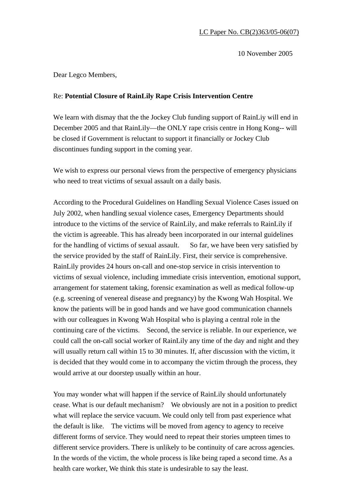10 November 2005

Dear Legco Members,

## Re: **Potential Closure of RainLily Rape Crisis Intervention Centre**

We learn with dismay that the the Jockey Club funding support of RainLiy will end in December 2005 and that RainLily—the ONLY rape crisis centre in Hong Kong-- will be closed if Government is reluctant to support it financially or Jockey Club discontinues funding support in the coming year.

We wish to express our personal views from the perspective of emergency physicians who need to treat victims of sexual assault on a daily basis.

According to the Procedural Guidelines on Handling Sexual Violence Cases issued on July 2002, when handling sexual violence cases, Emergency Departments should introduce to the victims of the service of RainLily, and make referrals to RainLily if the victim is agreeable. This has already been incorporated in our internal guidelines for the handling of victims of sexual assault. So far, we have been very satisfied by the service provided by the staff of RainLily. First, their service is comprehensive. RainLily provides 24 hours on-call and one-stop service in crisis intervention to victims of sexual violence, including immediate crisis intervention, emotional support, arrangement for statement taking, forensic examination as well as medical follow-up (e.g. screening of venereal disease and pregnancy) by the Kwong Wah Hospital. We know the patients will be in good hands and we have good communication channels with our colleagues in Kwong Wah Hospital who is playing a central role in the continuing care of the victims. Second, the service is reliable. In our experience, we could call the on-call social worker of RainLily any time of the day and night and they will usually return call within 15 to 30 minutes. If, after discussion with the victim, it is decided that they would come in to accompany the victim through the process, they would arrive at our doorstep usually within an hour.

You may wonder what will happen if the service of RainLily should unfortunately cease. What is our default mechanism? We obviously are not in a position to predict what will replace the service vacuum. We could only tell from past experience what the default is like. The victims will be moved from agency to agency to receive different forms of service. They would need to repeat their stories umpteen times to different service providers. There is unlikely to be continuity of care across agencies. In the words of the victim, the whole process is like being raped a second time. As a health care worker, We think this state is undesirable to say the least.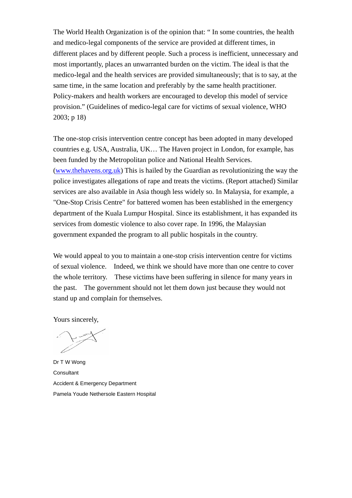The World Health Organization is of the opinion that: " In some countries, the health and medico-legal components of the service are provided at different times, in different places and by different people. Such a process is inefficient, unnecessary and most importantly, places an unwarranted burden on the victim. The ideal is that the medico-legal and the health services are provided simultaneously; that is to say, at the same time, in the same location and preferably by the same health practitioner. Policy-makers and health workers are encouraged to develop this model of service provision." (Guidelines of medico-legal care for victims of sexual violence, WHO 2003; p 18)

The one-stop crisis intervention centre concept has been adopted in many developed countries e.g. USA, Australia, UK… The Haven project in London, for example, has been funded by the Metropolitan police and National Health Services. (www.thehavens.org.uk) This is hailed by the Guardian as revolutionizing the way the police investigates allegations of rape and treats the victims. (Report attached) Similar services are also available in Asia though less widely so. In Malaysia, for example, a "One-Stop Crisis Centre" for battered women has been established in the emergency department of the Kuala Lumpur Hospital. Since its establishment, it has expanded its services from domestic violence to also cover rape. In 1996, the Malaysian government expanded the program to all public hospitals in the country.

We would appeal to you to maintain a one-stop crisis intervention centre for victims of sexual violence. Indeed, we think we should have more than one centre to cover the whole territory. These victims have been suffering in silence for many years in the past. The government should not let them down just because they would not stand up and complain for themselves.

Yours sincerely,

Dr T W Wong **Consultant** Accident & Emergency Department Pamela Youde Nethersole Eastern Hospital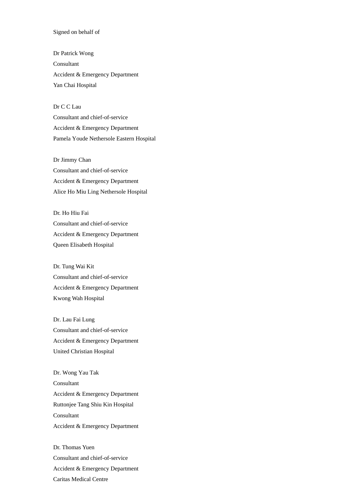### Signed on behalf of

Dr Patrick Wong Consultant Accident & Emergency Department Yan Chai Hospital

Dr C C Lau

Consultant and chief-of-service Accident & Emergency Department Pamela Youde Nethersole Eastern Hospital

Dr Jimmy Chan Consultant and chief-of-service Accident & Emergency Department Alice Ho Miu Ling Nethersole Hospital

Dr. Ho Hiu Fai Consultant and chief-of-service Accident & Emergency Department Queen Elisabeth Hospital

Dr. Tung Wai Kit Consultant and chief-of-service Accident & Emergency Department Kwong Wah Hospital

Dr. Lau Fai Lung Consultant and chief-of-service Accident & Emergency Department United Christian Hospital

Dr. Wong Yau Tak Consultant Accident & Emergency Department Ruttonjee Tang Shiu Kin Hospital Consultant Accident & Emergency Department

Dr. Thomas Yuen Consultant and chief-of-service Accident & Emergency Department Caritas Medical Centre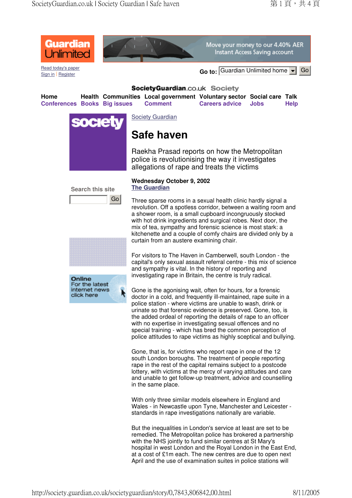

Read today's paper



Move your money to our 4.40% AER Instant Access Saving account

Sign in Register **Go to:** Guardian Unlimited home Go

## SocietyGuardian.co.uk Society

**Home Health Communities Local government Voluntary sector Social care Talk Conferences Books Big issues Comment Careers advice Jobs Help**



**Society Guardian** 

# **Safe haven**

Raekha Prasad reports on how the Metropolitan police is revolutionising the way it investigates allegations of rape and treats the victims



Online For the latest internet news

click here

k

### **Wednesday October 9, 2002 The Guardian**

Three sparse rooms in a sexual health clinic hardly signal a revolution. Off a spotless corridor, between a waiting room and a shower room, is a small cupboard incongruously stocked with hot drink ingredients and surgical robes. Next door, the mix of tea, sympathy and forensic science is most stark: a kitchenette and a couple of comfy chairs are divided only by a curtain from an austere examining chair.

For visitors to The Haven in Camberwell, south London - the capital's only sexual assault referral centre - this mix of science and sympathy is vital. In the history of reporting and investigating rape in Britain, the centre is truly radical.

Gone is the agonising wait, often for hours, for a forensic doctor in a cold, and frequently ill-maintained, rape suite in a police station - where victims are unable to wash, drink or urinate so that forensic evidence is preserved. Gone, too, is the added ordeal of reporting the details of rape to an officer with no expertise in investigating sexual offences and no special training - which has bred the common perception of police attitudes to rape victims as highly sceptical and bullying.

Gone, that is, for victims who report rape in one of the 12 south London boroughs. The treatment of people reporting rape in the rest of the capital remains subject to a postcode lottery, with victims at the mercy of varying attitudes and care and unable to get follow-up treatment, advice and counselling in the same place.

With only three similar models elsewhere in England and Wales - in Newcastle upon Tyne, Manchester and Leicester standards in rape investigations nationally are variable.

But the inequalities in London's service at least are set to be remedied. The Metropolitan police has brokered a partnership with the NHS jointly to fund similar centres at St Mary's hospital in west London and the Royal London in the East End, at a cost of £1m each. The new centres are due to open next April and the use of examination suites in police stations will

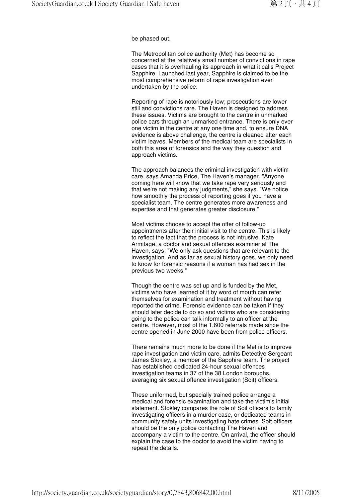#### be phased out.

The Metropolitan police authority (Met) has become so concerned at the relatively small number of convictions in rape cases that it is overhauling its approach in what it calls Project Sapphire. Launched last year, Sapphire is claimed to be the most comprehensive reform of rape investigation ever undertaken by the police.

Reporting of rape is notoriously low; prosecutions are lower still and convictions rare. The Haven is designed to address these issues. Victims are brought to the centre in unmarked police cars through an unmarked entrance. There is only ever one victim in the centre at any one time and, to ensure DNA evidence is above challenge, the centre is cleaned after each victim leaves. Members of the medical team are specialists in both this area of forensics and the way they question and approach victims.

The approach balances the criminal investigation with victim care, says Amanda Price, The Haven's manager. "Anyone coming here will know that we take rape very seriously and that we're not making any judgments," she says. "We notice how smoothly the process of reporting goes if you have a specialist team. The centre generates more awareness and expertise and that generates greater disclosure."

Most victims choose to accept the offer of follow-up appointments after their initial visit to the centre. This is likely to reflect the fact that the process is not intrusive. Kate Armitage, a doctor and sexual offences examiner at The Haven, says: "We only ask questions that are relevant to the investigation. And as far as sexual history goes, we only need to know for forensic reasons if a woman has had sex in the previous two weeks."

Though the centre was set up and is funded by the Met, victims who have learned of it by word of mouth can refer themselves for examination and treatment without having reported the crime. Forensic evidence can be taken if they should later decide to do so and victims who are considering going to the police can talk informally to an officer at the centre. However, most of the 1,600 referrals made since the centre opened in June 2000 have been from police officers.

There remains much more to be done if the Met is to improve rape investigation and victim care, admits Detective Sergeant James Stokley, a member of the Sapphire team. The project has established dedicated 24-hour sexual offences investigation teams in 37 of the 38 London boroughs, averaging six sexual offence investigation (Soit) officers.

These uniformed, but specially trained police arrange a medical and forensic examination and take the victim's initial statement. Stokley compares the role of Soit officers to family investigating officers in a murder case, or dedicated teams in community safety units investigating hate crimes. Soit officers should be the only police contacting The Haven and accompany a victim to the centre. On arrival, the officer should explain the case to the doctor to avoid the victim having to repeat the details.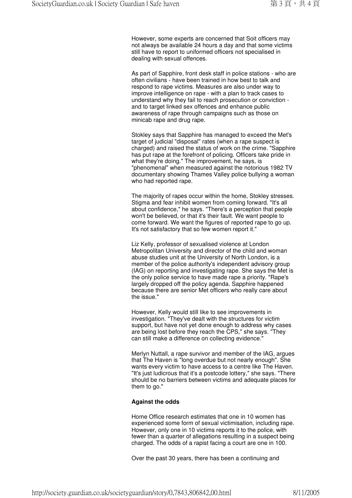However, some experts are concerned that Soit officers may not always be available 24 hours a day and that some victims still have to report to uniformed officers not specialised in dealing with sexual offences.

As part of Sapphire, front desk staff in police stations - who are often civilians - have been trained in how best to talk and respond to rape victims. Measures are also under way to improve intelligence on rape - with a plan to track cases to understand why they fail to reach prosecution or conviction and to target linked sex offences and enhance public awareness of rape through campaigns such as those on minicab rape and drug rape.

Stokley says that Sapphire has managed to exceed the Met's target of judicial "disposal" rates (when a rape suspect is charged) and raised the status of work on the crime. "Sapphire has put rape at the forefront of policing. Officers take pride in what they're doing." The improvement, he says, is "phenomenal" when measured against the notorious 1982 TV documentary showing Thames Valley police bullying a woman who had reported rape.

The majority of rapes occur within the home, Stokley stresses. Stigma and fear inhibit women from coming forward. "It's all about confidence," he says. "There's a perception that people won't be believed, or that it's their fault. We want people to come forward. We want the figures of reported rape to go up. It's not satisfactory that so few women report it."

Liz Kelly, professor of sexualised violence at London Metropolitan University and director of the child and woman abuse studies unit at the University of North London, is a member of the police authority's independent advisory group (IAG) on reporting and investigating rape. She says the Met is the only police service to have made rape a priority. "Rape's largely dropped off the policy agenda. Sapphire happened because there are senior Met officers who really care about the issue."

However, Kelly would still like to see improvements in investigation. "They've dealt with the structures for victim support, but have not yet done enough to address why cases are being lost before they reach the CPS," she says. "They can still make a difference on collecting evidence."

Merlyn Nuttall, a rape survivor and member of the IAG, argues that The Haven is "long overdue but not nearly enough". She wants every victim to have access to a centre like The Haven. "It's just ludicrous that it's a postcode lottery," she says. "There should be no barriers between victims and adequate places for them to go."

### **Against the odds**

Home Office research estimates that one in 10 women has experienced some form of sexual victimisation, including rape. However, only one in 10 victims reports it to the police, with fewer than a quarter of allegations resulting in a suspect being charged. The odds of a rapist facing a court are one in 100.

Over the past 30 years, there has been a continuing and